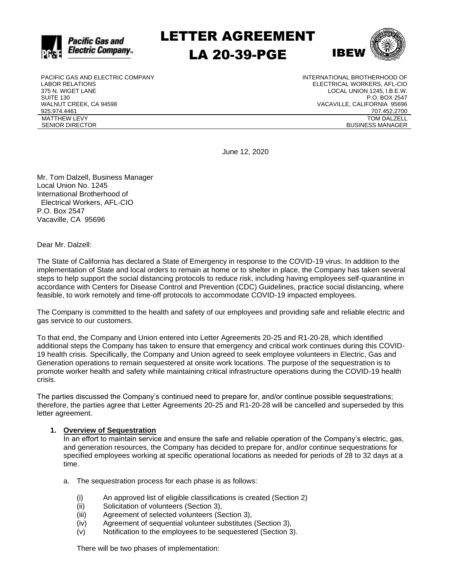

LETTER AGREEMENT LA 20-39-PGE



PACIFIC GAS AND ELECTRIC COMPANY LABOR RELATIONS 375 N. WIGET LANE SUITE 130 WALNUT CREEK, CA 94598 925.974.4461 MATTHEW LEVY SENIOR DIRECTOR

INTERNATIONAL BROTHERHOOD OF ELECTRICAL WORKERS, AFL-CIO LOCAL UNION 1245, I.B.E.W. P.O. BOX 2547 VACAVILLE, CALIFORNIA 95696 707.452.2700 TOM DALZELL BUSINESS MANAGER

June 12, 2020

Mr. Tom Dalzell, Business Manager Local Union No. 1245 International Brotherhood of Electrical Workers, AFL-CIO P.O. Box 2547 Vacaville, CA 95696

Dear Mr. Dalzell:

The State of California has declared a State of Emergency in response to the COVID-19 virus. In addition to the implementation of State and local orders to remain at home or to shelter in place, the Company has taken several steps to help support the social distancing protocols to reduce risk, including having employees self-quarantine in accordance with Centers for Disease Control and Prevention (CDC) Guidelines, practice social distancing, where feasible, to work remotely and time-off protocols to accommodate COVID-19 impacted employees.

The Company is committed to the health and safety of our employees and providing safe and reliable electric and gas service to our customers.

To that end, the Company and Union entered into Letter Agreements 20-25 and R1-20-28, which identified additional steps the Company has taken to ensure that emergency and critical work continues during this COVID-19 health crisis. Specifically, the Company and Union agreed to seek employee volunteers in Electric, Gas and Generation operations to remain sequestered at onsite work locations. The purpose of the sequestration is to promote worker health and safety while maintaining critical infrastructure operations during the COVID-19 health crisis.

The parties discussed the Company's continued need to prepare for, and/or continue possible sequestrations; therefore, the parties agree that Letter Agreements 20-25 and R1-20-28 will be cancelled and superseded by this letter agreement.

#### **1. Overview of Sequestration**

In an effort to maintain service and ensure the safe and reliable operation of the Company's electric, gas, and generation resources, the Company has decided to prepare for, and/or continue sequestrations for specified employees working at specific operational locations as needed for periods of 28 to 32 days at a time.

- a. The sequestration process for each phase is as follows:
	- (i) An approved list of eligible classifications is created (Section 2)
	- (ii) Solicitation of volunteers (Section 3),
	- (iii) Agreement of selected volunteers (Section 3),
	- (iv) Agreement of sequential volunteer substitutes (Section 3),
	- (v) Notification to the employees to be sequestered (Section 3).

There will be two phases of implementation: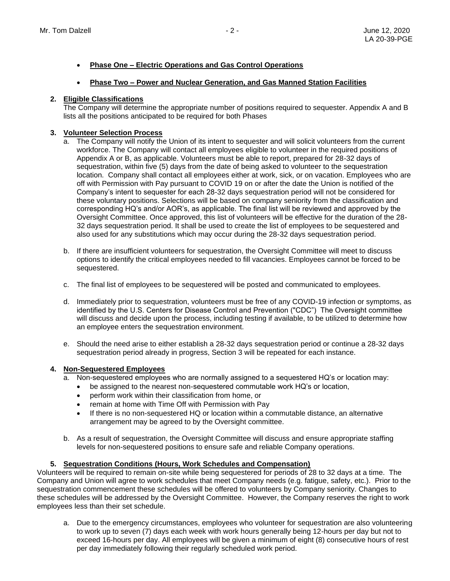- **Phase One – Electric Operations and Gas Control Operations**
- **Phase Two – Power and Nuclear Generation, and Gas Manned Station Facilities**

# **2. Eligible Classifications**

The Company will determine the appropriate number of positions required to sequester. Appendix A and B lists all the positions anticipated to be required for both Phases

# **3. Volunteer Selection Process**

- a. The Company will notify the Union of its intent to sequester and will solicit volunteers from the current workforce. The Company will contact all employees eligible to volunteer in the required positions of Appendix A or B, as applicable. Volunteers must be able to report, prepared for 28-32 days of sequestration, within five (5) days from the date of being asked to volunteer to the sequestration location. Company shall contact all employees either at work, sick, or on vacation. Employees who are off with Permission with Pay pursuant to COVID 19 on or after the date the Union is notified of the Company's intent to sequester for each 28-32 days sequestration period will not be considered for these voluntary positions. Selections will be based on company seniority from the classification and corresponding HQ's and/or AOR's, as applicable. The final list will be reviewed and approved by the Oversight Committee. Once approved, this list of volunteers will be effective for the duration of the 28- 32 days sequestration period. It shall be used to create the list of employees to be sequestered and also used for any substitutions which may occur during the 28-32 days sequestration period.
- b. If there are insufficient volunteers for sequestration, the Oversight Committee will meet to discuss options to identify the critical employees needed to fill vacancies. Employees cannot be forced to be sequestered.
- c. The final list of employees to be sequestered will be posted and communicated to employees.
- d. Immediately prior to sequestration, volunteers must be free of any COVID-19 infection or symptoms, as identified by the U.S. Centers for Disease Control and Prevention ("CDC") The Oversight committee will discuss and decide upon the process, including testing if available, to be utilized to determine how an employee enters the sequestration environment.
- e. Should the need arise to either establish a 28-32 days sequestration period or continue a 28-32 days sequestration period already in progress, Section 3 will be repeated for each instance.

## **4. Non-Sequestered Employees**

- a. Non-sequestered employees who are normally assigned to a sequestered HQ's or location may:
	- be assigned to the nearest non-sequestered commutable work HQ's or location,
	- perform work within their classification from home, or
	- remain at home with Time Off with Permission with Pay
	- If there is no non-sequestered HQ or location within a commutable distance, an alternative arrangement may be agreed to by the Oversight committee.
- b. As a result of sequestration, the Oversight Committee will discuss and ensure appropriate staffing levels for non-sequestered positions to ensure safe and reliable Company operations.

# **5. Sequestration Conditions (Hours, Work Schedules and Compensation)**

Volunteers will be required to remain on-site while being sequestered for periods of 28 to 32 days at a time. The Company and Union will agree to work schedules that meet Company needs (e.g. fatigue, safety, etc.). Prior to the sequestration commencement these schedules will be offered to volunteers by Company seniority. Changes to these schedules will be addressed by the Oversight Committee. However, the Company reserves the right to work employees less than their set schedule.

a. Due to the emergency circumstances, employees who volunteer for sequestration are also volunteering to work up to seven (7) days each week with work hours generally being 12-hours per day but not to exceed 16-hours per day. All employees will be given a minimum of eight (8) consecutive hours of rest per day immediately following their regularly scheduled work period.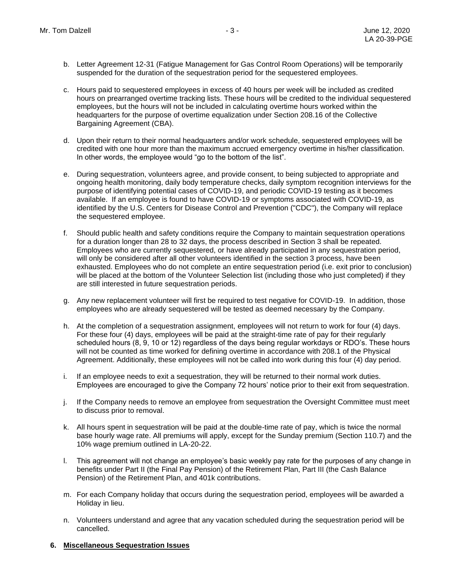- b. Letter Agreement 12-31 (Fatigue Management for Gas Control Room Operations) will be temporarily suspended for the duration of the sequestration period for the sequestered employees.
- c. Hours paid to sequestered employees in excess of 40 hours per week will be included as credited hours on prearranged overtime tracking lists. These hours will be credited to the individual sequestered employees, but the hours will not be included in calculating overtime hours worked within the headquarters for the purpose of overtime equalization under Section 208.16 of the Collective Bargaining Agreement (CBA).
- d. Upon their return to their normal headquarters and/or work schedule, sequestered employees will be credited with one hour more than the maximum accrued emergency overtime in his/her classification. In other words, the employee would "go to the bottom of the list".
- e. During sequestration, volunteers agree, and provide consent, to being subjected to appropriate and ongoing health monitoring, daily body temperature checks, daily symptom recognition interviews for the purpose of identifying potential cases of COVID-19, and periodic COVID-19 testing as it becomes available. If an employee is found to have COVID-19 or symptoms associated with COVID-19, as identified by the U.S. Centers for Disease Control and Prevention ("CDC"), the Company will replace the sequestered employee.
- f. Should public health and safety conditions require the Company to maintain sequestration operations for a duration longer than 28 to 32 days, the process described in Section 3 shall be repeated. Employees who are currently sequestered, or have already participated in any sequestration period, will only be considered after all other volunteers identified in the section 3 process, have been exhausted. Employees who do not complete an entire sequestration period (i.e. exit prior to conclusion) will be placed at the bottom of the Volunteer Selection list (including those who just completed) if they are still interested in future sequestration periods.
- g. Any new replacement volunteer will first be required to test negative for COVID-19. In addition, those employees who are already sequestered will be tested as deemed necessary by the Company.
- h. At the completion of a sequestration assignment, employees will not return to work for four (4) days. For these four (4) days, employees will be paid at the straight-time rate of pay for their regularly scheduled hours (8, 9, 10 or 12) regardless of the days being regular workdays or RDO's. These hours will not be counted as time worked for defining overtime in accordance with 208.1 of the Physical Agreement. Additionally, these employees will not be called into work during this four (4) day period.
- i. If an employee needs to exit a sequestration, they will be returned to their normal work duties. Employees are encouraged to give the Company 72 hours' notice prior to their exit from sequestration.
- j. If the Company needs to remove an employee from sequestration the Oversight Committee must meet to discuss prior to removal.
- k. All hours spent in sequestration will be paid at the double-time rate of pay, which is twice the normal base hourly wage rate. All premiums will apply, except for the Sunday premium (Section 110.7) and the 10% wage premium outlined in LA-20-22.
- l. This agreement will not change an employee's basic weekly pay rate for the purposes of any change in benefits under Part II (the Final Pay Pension) of the Retirement Plan, Part III (the Cash Balance Pension) of the Retirement Plan, and 401k contributions.
- m. For each Company holiday that occurs during the sequestration period, employees will be awarded a Holiday in lieu.
- n. Volunteers understand and agree that any vacation scheduled during the sequestration period will be cancelled.

## **6. Miscellaneous Sequestration Issues**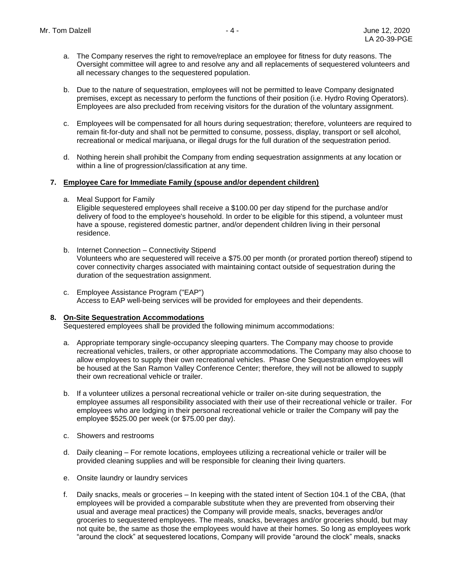- a. The Company reserves the right to remove/replace an employee for fitness for duty reasons. The Oversight committee will agree to and resolve any and all replacements of sequestered volunteers and all necessary changes to the sequestered population.
- b. Due to the nature of sequestration, employees will not be permitted to leave Company designated premises, except as necessary to perform the functions of their position (i.e. Hydro Roving Operators). Employees are also precluded from receiving visitors for the duration of the voluntary assignment.
- c. Employees will be compensated for all hours during sequestration; therefore, volunteers are required to remain fit-for-duty and shall not be permitted to consume, possess, display, transport or sell alcohol, recreational or medical marijuana, or illegal drugs for the full duration of the sequestration period.
- d. Nothing herein shall prohibit the Company from ending sequestration assignments at any location or within a line of progression/classification at any time.

#### **7. Employee Care for Immediate Family (spouse and/or dependent children)**

a. Meal Support for Family

Eligible sequestered employees shall receive a \$100.00 per day stipend for the purchase and/or delivery of food to the employee's household. In order to be eligible for this stipend, a volunteer must have a spouse, registered domestic partner, and/or dependent children living in their personal residence.

- b. Internet Connection Connectivity Stipend Volunteers who are sequestered will receive a \$75.00 per month (or prorated portion thereof) stipend to cover connectivity charges associated with maintaining contact outside of sequestration during the duration of the sequestration assignment.
- c. Employee Assistance Program ("EAP") Access to EAP well-being services will be provided for employees and their dependents.

## **8. On-Site Sequestration Accommodations**

Sequestered employees shall be provided the following minimum accommodations:

- a. Appropriate temporary single-occupancy sleeping quarters. The Company may choose to provide recreational vehicles, trailers, or other appropriate accommodations. The Company may also choose to allow employees to supply their own recreational vehicles. Phase One Sequestration employees will be housed at the San Ramon Valley Conference Center; therefore, they will not be allowed to supply their own recreational vehicle or trailer.
- b. If a volunteer utilizes a personal recreational vehicle or trailer on-site during sequestration, the employee assumes all responsibility associated with their use of their recreational vehicle or trailer. For employees who are lodging in their personal recreational vehicle or trailer the Company will pay the employee \$525.00 per week (or \$75.00 per day).
- c. Showers and restrooms
- d. Daily cleaning For remote locations, employees utilizing a recreational vehicle or trailer will be provided cleaning supplies and will be responsible for cleaning their living quarters.
- e. Onsite laundry or laundry services
- f. Daily snacks, meals or groceries In keeping with the stated intent of Section 104.1 of the CBA, (that employees will be provided a comparable substitute when they are prevented from observing their usual and average meal practices) the Company will provide meals, snacks, beverages and/or groceries to sequestered employees. The meals, snacks, beverages and/or groceries should, but may not quite be, the same as those the employees would have at their homes. So long as employees work "around the clock" at sequestered locations, Company will provide "around the clock" meals, snacks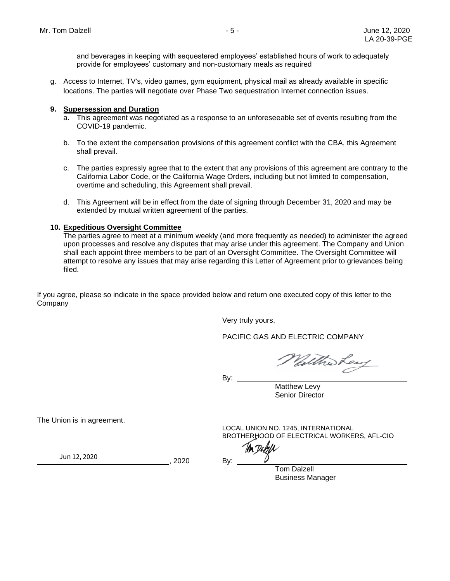and beverages in keeping with sequestered employees' established hours of work to adequately provide for employees' customary and non-customary meals as required

g. Access to Internet, TV's, video games, gym equipment, physical mail as already available in specific locations. The parties will negotiate over Phase Two sequestration Internet connection issues.

## **9. Supersession and Duration**

- a. This agreement was negotiated as a response to an unforeseeable set of events resulting from the COVID-19 pandemic.
- b. To the extent the compensation provisions of this agreement conflict with the CBA, this Agreement shall prevail.
- c. The parties expressly agree that to the extent that any provisions of this agreement are contrary to the California Labor Code, or the California Wage Orders, including but not limited to compensation, overtime and scheduling, this Agreement shall prevail.
- d. This Agreement will be in effect from the date of signing through December 31, 2020 and may be extended by mutual written agreement of the parties.

#### **10. Expeditious Oversight Committee**

The parties agree to meet at a minimum weekly (and more frequently as needed) to administer the agreed upon processes and resolve any disputes that may arise under this agreement. The Company and Union shall each appoint three members to be part of an Oversight Committee. The Oversight Committee will attempt to resolve any issues that may arise regarding this Letter of Agreement prior to grievances being filed.

If you agree, please so indicate in the space provided below and return one executed copy of this letter to the Company

Very truly yours,

PACIFIC GAS AND ELECTRIC COMPANY

Waltholey

By:  $\_\_$ 

Matthew Levy Senior Director

The Union is in agreement.

LOCAL UNION NO. 1245, INTERNATIONAL BROTHERHOOD OF ELECTRICAL WORKERS, AFL-CIO

Tom Dalzell Business Manager

 ${\sf Jun}\,12, 2020$   ${\sf B}_V$   $\downarrow$   ${\sf B}_V$ 

, 2020 By: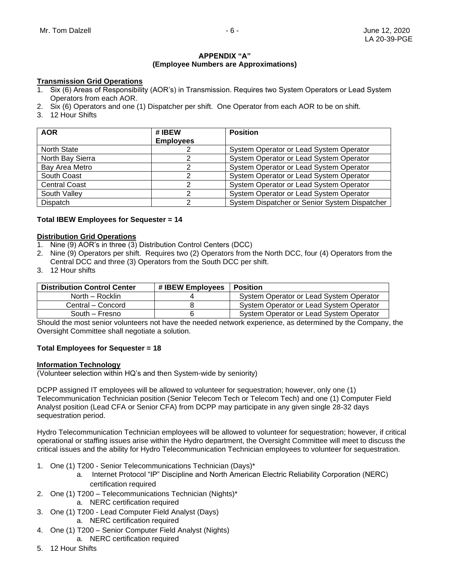#### **APPENDIX "A" (Employee Numbers are Approximations)**

## **Transmission Grid Operations**

- 1. Six (6) Areas of Responsibility (AOR's) in Transmission. Requires two System Operators or Lead System Operators from each AOR.
- 2. Six (6) Operators and one (1) Dispatcher per shift. One Operator from each AOR to be on shift.
- 3. 12 Hour Shifts

| <b>AOR</b>           | # IBEW<br><b>Employees</b> | <b>Position</b>                               |
|----------------------|----------------------------|-----------------------------------------------|
| North State          |                            | System Operator or Lead System Operator       |
| North Bay Sierra     |                            | System Operator or Lead System Operator       |
| Bay Area Metro       |                            | System Operator or Lead System Operator       |
| South Coast          |                            | System Operator or Lead System Operator       |
| <b>Central Coast</b> |                            | System Operator or Lead System Operator       |
| South Valley         |                            | System Operator or Lead System Operator       |
| <b>Dispatch</b>      |                            | System Dispatcher or Senior System Dispatcher |

#### **Total IBEW Employees for Sequester = 14**

#### **Distribution Grid Operations**

- 1. Nine (9) AOR's in three (3) Distribution Control Centers (DCC)
- 2. Nine (9) Operators per shift. Requires two (2) Operators from the North DCC, four (4) Operators from the Central DCC and three (3) Operators from the South DCC per shift.
- 3. 12 Hour shifts

| <b>Distribution Control Center</b> | # IBEW Employees | Position                                |
|------------------------------------|------------------|-----------------------------------------|
| North – Rocklin                    |                  | System Operator or Lead System Operator |
| Central – Concord                  |                  | System Operator or Lead System Operator |
| South - Fresno                     |                  | System Operator or Lead System Operator |

Should the most senior volunteers not have the needed network experience, as determined by the Company, the Oversight Committee shall negotiate a solution.

## **Total Employees for Sequester = 18**

#### **Information Technology**

(Volunteer selection within HQ's and then System-wide by seniority)

DCPP assigned IT employees will be allowed to volunteer for sequestration; however, only one (1) Telecommunication Technician position (Senior Telecom Tech or Telecom Tech) and one (1) Computer Field Analyst position (Lead CFA or Senior CFA) from DCPP may participate in any given single 28-32 days sequestration period.

Hydro Telecommunication Technician employees will be allowed to volunteer for sequestration; however, if critical operational or staffing issues arise within the Hydro department, the Oversight Committee will meet to discuss the critical issues and the ability for Hydro Telecommunication Technician employees to volunteer for sequestration.

- 1. One (1) T200 Senior Telecommunications Technician (Days)\*
	- a. Internet Protocol "IP" Discipline and North American Electric Reliability Corporation (NERC) certification required
- 2. One (1) T200 Telecommunications Technician (Nights)\*
	- a. NERC certification required
- 3. One (1) T200 Lead Computer Field Analyst (Days)
	- a. NERC certification required
- 4. One (1) T200 Senior Computer Field Analyst (Nights)
	- a. NERC certification required
- 5. 12 Hour Shifts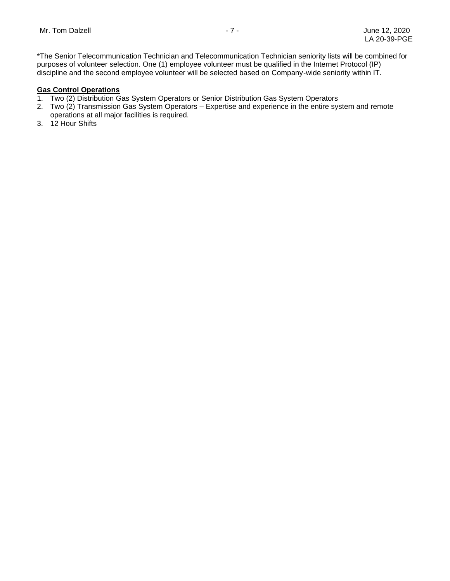\*The Senior Telecommunication Technician and Telecommunication Technician seniority lists will be combined for purposes of volunteer selection. One (1) employee volunteer must be qualified in the Internet Protocol (IP) discipline and the second employee volunteer will be selected based on Company-wide seniority within IT.

## **Gas Control Operations**

- 1. Two (2) Distribution Gas System Operators or Senior Distribution Gas System Operators
- 2. Two (2) Transmission Gas System Operators Expertise and experience in the entire system and remote operations at all major facilities is required.
- 3. 12 Hour Shifts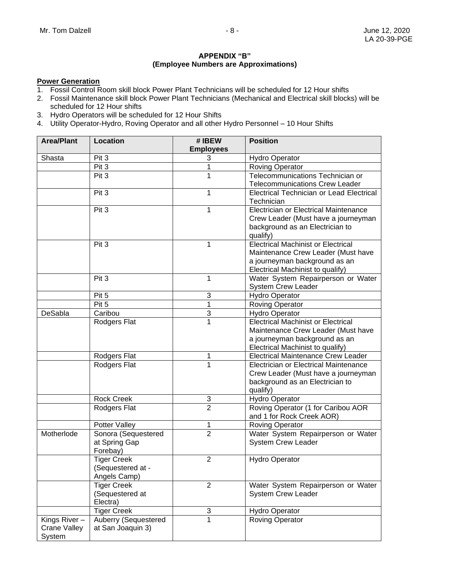#### **APPENDIX "B" (Employee Numbers are Approximations)**

#### **Power Generation**

- 1. Fossil Control Room skill block Power Plant Technicians will be scheduled for 12 Hour shifts
- 2. Fossil Maintenance skill block Power Plant Technicians (Mechanical and Electrical skill blocks) will be scheduled for 12 Hour shifts
- 3. Hydro Operators will be scheduled for 12 Hour Shifts
- 4. Utility Operator-Hydro, Roving Operator and all other Hydro Personnel 10 Hour Shifts

| <b>Area/Plant</b> | <b>Location</b>      | #IBEW<br><b>Employees</b> | <b>Position</b>                                                 |
|-------------------|----------------------|---------------------------|-----------------------------------------------------------------|
| Shasta            | Pit 3                | 3                         | <b>Hydro Operator</b>                                           |
|                   | Pit 3                | 1                         | <b>Roving Operator</b>                                          |
|                   | Pit 3                | 1                         | Telecommunications Technician or                                |
|                   |                      |                           | <b>Telecommunications Crew Leader</b>                           |
|                   | Pit 3                | 1                         | Electrical Technician or Lead Electrical                        |
|                   |                      |                           | Technician                                                      |
|                   | Pit 3                | 1                         | Electrician or Electrical Maintenance                           |
|                   |                      |                           | Crew Leader (Must have a journeyman                             |
|                   |                      |                           | background as an Electrician to                                 |
|                   |                      |                           | qualify)                                                        |
|                   | Pit 3                | 1                         | <b>Electrical Machinist or Electrical</b>                       |
|                   |                      |                           | Maintenance Crew Leader (Must have                              |
|                   |                      |                           | a journeyman background as an                                   |
|                   |                      |                           | Electrical Machinist to qualify)                                |
|                   | Pit 3                | 1                         | Water System Repairperson or Water                              |
|                   |                      |                           | <b>System Crew Leader</b>                                       |
|                   | Pit 5                | 3                         | <b>Hydro Operator</b>                                           |
|                   | Pit 5                | 1                         | <b>Roving Operator</b>                                          |
| DeSabla           | Caribou              | 3                         | <b>Hydro Operator</b>                                           |
|                   | Rodgers Flat         | $\overline{1}$            | <b>Electrical Machinist or Electrical</b>                       |
|                   |                      |                           | Maintenance Crew Leader (Must have                              |
|                   |                      |                           | a journeyman background as an                                   |
|                   |                      |                           | Electrical Machinist to qualify)                                |
|                   | Rodgers Flat         | 1                         | <b>Electrical Maintenance Crew Leader</b>                       |
|                   | Rodgers Flat         | 1                         | Electrician or Electrical Maintenance                           |
|                   |                      |                           | Crew Leader (Must have a journeyman                             |
|                   |                      |                           | background as an Electrician to                                 |
|                   |                      |                           | qualify)                                                        |
|                   | <b>Rock Creek</b>    | 3<br>$\overline{2}$       | <b>Hydro Operator</b>                                           |
|                   | Rodgers Flat         |                           | Roving Operator (1 for Caribou AOR<br>and 1 for Rock Creek AOR) |
|                   | Potter Valley        | 1                         | <b>Roving Operator</b>                                          |
| Motherlode        | Sonora (Sequestered  | $\overline{2}$            | Water System Repairperson or Water                              |
|                   | at Spring Gap        |                           | <b>System Crew Leader</b>                                       |
|                   | Forebay)             |                           |                                                                 |
|                   | <b>Tiger Creek</b>   | $\overline{2}$            | <b>Hydro Operator</b>                                           |
|                   | (Sequestered at -    |                           |                                                                 |
|                   | Angels Camp)         |                           |                                                                 |
|                   | <b>Tiger Creek</b>   | $\overline{2}$            | Water System Repairperson or Water                              |
|                   | (Sequestered at      |                           | System Crew Leader                                              |
|                   | Electra)             |                           |                                                                 |
|                   | <b>Tiger Creek</b>   | 3                         | <b>Hydro Operator</b>                                           |
| Kings River-      | Auberry (Sequestered | 1                         | <b>Roving Operator</b>                                          |
| Crane Valley      | at San Joaquin 3)    |                           |                                                                 |
| System            |                      |                           |                                                                 |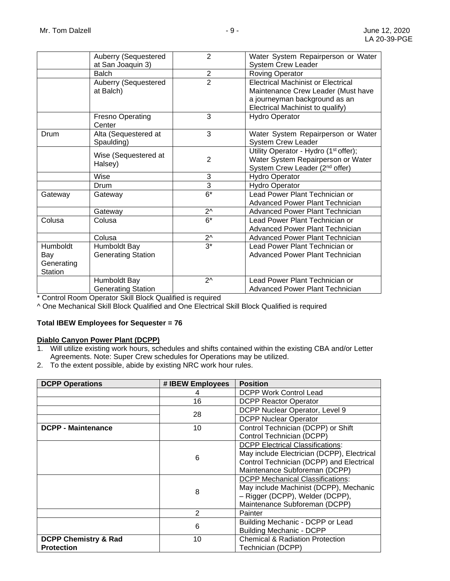|                 | Auberry (Sequestered              | $\overline{2}$ | Water System Repairperson or Water                |
|-----------------|-----------------------------------|----------------|---------------------------------------------------|
|                 | at San Joaquin 3)                 |                | <b>System Crew Leader</b>                         |
|                 | <b>Balch</b>                      | $\overline{2}$ | <b>Roving Operator</b>                            |
|                 | Auberry (Sequestered              | $\overline{2}$ | <b>Electrical Machinist or Electrical</b>         |
|                 | at Balch)                         |                | Maintenance Crew Leader (Must have                |
|                 |                                   |                | a journeyman background as an                     |
|                 |                                   |                | Electrical Machinist to qualify)                  |
|                 | <b>Fresno Operating</b><br>Center | 3              | <b>Hydro Operator</b>                             |
| Drum            | Alta (Sequestered at              | 3              | Water System Repairperson or Water                |
|                 | Spaulding)                        |                | System Crew Leader                                |
|                 | Wise (Sequestered at              |                | Utility Operator - Hydro (1 <sup>st</sup> offer); |
|                 | Halsey)                           | $\overline{2}$ | Water System Repairperson or Water                |
|                 |                                   |                | System Crew Leader (2 <sup>nd</sup> offer)        |
|                 | Wise                              | 3              | <b>Hydro Operator</b>                             |
|                 | Drum                              | 3              | <b>Hydro Operator</b>                             |
| Gateway         | Gateway                           | $6*$           | Lead Power Plant Technician or                    |
|                 |                                   |                | Advanced Power Plant Technician                   |
|                 | Gateway                           | $2^{\wedge}$   | <b>Advanced Power Plant Technician</b>            |
| Colusa          | Colusa                            | $6*$           | Lead Power Plant Technician or                    |
|                 |                                   |                | Advanced Power Plant Technician                   |
|                 | Colusa                            | $2^{\wedge}$   | Advanced Power Plant Technician                   |
| <b>Humboldt</b> | Humboldt Bay                      | $3^*$          | Lead Power Plant Technician or                    |
| Bay             | <b>Generating Station</b>         |                | Advanced Power Plant Technician                   |
| Generating      |                                   |                |                                                   |
| <b>Station</b>  |                                   |                |                                                   |
|                 | Humboldt Bay                      | $2^{\wedge}$   | Lead Power Plant Technician or                    |
|                 | <b>Generating Station</b>         |                | Advanced Power Plant Technician                   |

\* Control Room Operator Skill Block Qualified is required

^ One Mechanical Skill Block Qualified and One Electrical Skill Block Qualified is required

## **Total IBEW Employees for Sequester = 76**

## **Diablo Canyon Power Plant (DCPP)**

- 1. Will utilize existing work hours, schedules and shifts contained within the existing CBA and/or Letter Agreements. Note: Super Crew schedules for Operations may be utilized.
- 2. To the extent possible, abide by existing NRC work hour rules.

| <b>DCPP Operations</b>          | # IBEW Employees | <b>Position</b>                            |
|---------------------------------|------------------|--------------------------------------------|
|                                 |                  | <b>DCPP Work Control Lead</b>              |
|                                 | 16               | <b>DCPP Reactor Operator</b>               |
|                                 | 28               | DCPP Nuclear Operator, Level 9             |
|                                 |                  | <b>DCPP Nuclear Operator</b>               |
| <b>DCPP - Maintenance</b>       | 10               | Control Technician (DCPP) or Shift         |
|                                 |                  | Control Technician (DCPP)                  |
|                                 |                  | <b>DCPP Electrical Classifications:</b>    |
|                                 | 6                | May include Electrician (DCPP), Electrical |
|                                 |                  | Control Technician (DCPP) and Electrical   |
|                                 |                  | Maintenance Subforeman (DCPP)              |
|                                 |                  | <b>DCPP Mechanical Classifications:</b>    |
|                                 | 8                | May include Machinist (DCPP), Mechanic     |
|                                 |                  | - Rigger (DCPP), Welder (DCPP),            |
|                                 |                  | Maintenance Subforeman (DCPP)              |
|                                 | 2                | Painter                                    |
|                                 | 6                | Building Mechanic - DCPP or Lead           |
|                                 |                  | <b>Building Mechanic - DCPP</b>            |
| <b>DCPP Chemistry &amp; Rad</b> | 10               | <b>Chemical &amp; Radiation Protection</b> |
| <b>Protection</b>               |                  | Technician (DCPP)                          |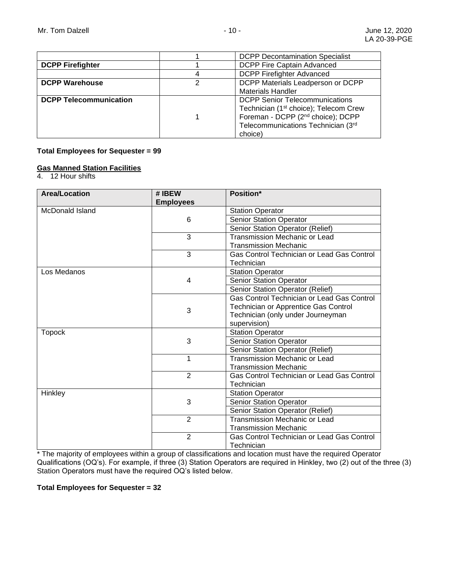|                               |   | <b>DCPP Decontamination Specialist</b>            |
|-------------------------------|---|---------------------------------------------------|
| <b>DCPP Firefighter</b>       |   | DCPP Fire Captain Advanced                        |
|                               |   | <b>DCPP Firefighter Advanced</b>                  |
| <b>DCPP Warehouse</b>         | 2 | DCPP Materials Leadperson or DCPP                 |
|                               |   | <b>Materials Handler</b>                          |
| <b>DCPP Telecommunication</b> |   | <b>DCPP Senior Telecommunications</b>             |
|                               |   | Technician (1 <sup>st</sup> choice); Telecom Crew |
|                               |   | Foreman - DCPP (2 <sup>nd</sup> choice); DCPP     |
|                               |   | Telecommunications Technician (3rd                |
|                               |   | choice)                                           |

## **Total Employees for Sequester = 99**

# **Gas Manned Station Facilities**

4. 12 Hour shifts

| <b>Area/Location</b>   | # IBEW           | <b>Position*</b>                           |
|------------------------|------------------|--------------------------------------------|
|                        | <b>Employees</b> |                                            |
| <b>McDonald Island</b> |                  | <b>Station Operator</b>                    |
|                        | 6                | <b>Senior Station Operator</b>             |
|                        |                  | Senior Station Operator (Relief)           |
|                        | 3                | <b>Transmission Mechanic or Lead</b>       |
|                        |                  | <b>Transmission Mechanic</b>               |
|                        | 3                | Gas Control Technician or Lead Gas Control |
|                        |                  | Technician                                 |
| Los Medanos            |                  | <b>Station Operator</b>                    |
|                        | 4                | <b>Senior Station Operator</b>             |
|                        |                  | Senior Station Operator (Relief)           |
|                        |                  | Gas Control Technician or Lead Gas Control |
|                        | 3                | Technician or Apprentice Gas Control       |
|                        |                  | Technician (only under Journeyman          |
|                        |                  | supervision)                               |
| <b>Topock</b>          |                  | <b>Station Operator</b>                    |
|                        | 3                | Senior Station Operator                    |
|                        |                  | Senior Station Operator (Relief)           |
|                        | 1                | <b>Transmission Mechanic or Lead</b>       |
|                        |                  | <b>Transmission Mechanic</b>               |
|                        | $\overline{2}$   | Gas Control Technician or Lead Gas Control |
|                        |                  | Technician                                 |
| Hinkley                |                  | <b>Station Operator</b>                    |
|                        | 3                | <b>Senior Station Operator</b>             |
|                        |                  | Senior Station Operator (Relief)           |
|                        | $\overline{2}$   | <b>Transmission Mechanic or Lead</b>       |
|                        |                  | <b>Transmission Mechanic</b>               |
|                        | $\overline{2}$   | Gas Control Technician or Lead Gas Control |
|                        |                  | Technician                                 |

\* The majority of employees within a group of classifications and location must have the required Operator Qualifications (OQ's). For example, if three (3) Station Operators are required in Hinkley, two (2) out of the three (3) Station Operators must have the required OQ's listed below.

**Total Employees for Sequester = 32**